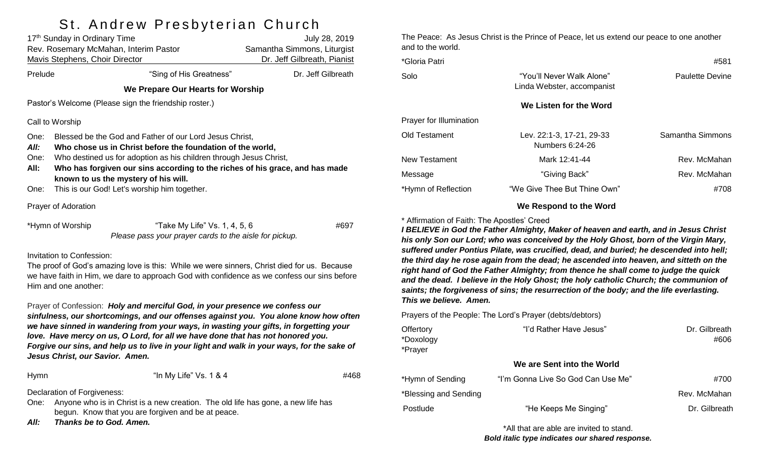# St. Andrew Presbyterian Church

|                                      | 17th Sunday in Ordinary Time<br><b>Mavis Stephens, Choir Director</b>                                                                                                                                                                                                                                                                                               | Rev. Rosemary McMahan, Interim Pastor                                                                                                                                                      | July 28, 2019<br>Samantha Simmons, Liturgist<br>Dr. Jeff Gilbreath, Pianist |  |  |
|--------------------------------------|---------------------------------------------------------------------------------------------------------------------------------------------------------------------------------------------------------------------------------------------------------------------------------------------------------------------------------------------------------------------|--------------------------------------------------------------------------------------------------------------------------------------------------------------------------------------------|-----------------------------------------------------------------------------|--|--|
| Prelude                              |                                                                                                                                                                                                                                                                                                                                                                     | "Sing of His Greatness"                                                                                                                                                                    | Dr. Jeff Gilbreath                                                          |  |  |
|                                      |                                                                                                                                                                                                                                                                                                                                                                     | We Prepare Our Hearts for Worship                                                                                                                                                          |                                                                             |  |  |
|                                      |                                                                                                                                                                                                                                                                                                                                                                     | Pastor's Welcome (Please sign the friendship roster.)                                                                                                                                      |                                                                             |  |  |
|                                      | Call to Worship                                                                                                                                                                                                                                                                                                                                                     |                                                                                                                                                                                            |                                                                             |  |  |
| One:<br>All:<br>One:<br>All:<br>One: | Blessed be the God and Father of our Lord Jesus Christ,<br>Who chose us in Christ before the foundation of the world,<br>Who destined us for adoption as his children through Jesus Christ,<br>Who has forgiven our sins according to the riches of his grace, and has made<br>known to us the mystery of his will.<br>This is our God! Let's worship him together. |                                                                                                                                                                                            |                                                                             |  |  |
|                                      | Prayer of Adoration                                                                                                                                                                                                                                                                                                                                                 |                                                                                                                                                                                            |                                                                             |  |  |
|                                      | *Hymn of Worship                                                                                                                                                                                                                                                                                                                                                    | "Take My Life" Vs. 1, 4, 5, 6<br>Please pass your prayer cards to the aisle for pickup.                                                                                                    | #697                                                                        |  |  |
|                                      | Invitation to Confession:                                                                                                                                                                                                                                                                                                                                           | The proof of God's amazing love is this: While we were sinners, Christ died for us. Because<br>we have faith in Him, we dare to approach God with confidence as we confess our sins before |                                                                             |  |  |

Prayer of Confession: *Holy and merciful God, in your presence we confess our sinfulness, our shortcomings, and our offenses against you. You alone know how often we have sinned in wandering from your ways, in wasting your gifts, in forgetting your love. Have mercy on us, O Lord, for all we have done that has not honored you. Forgive our sins, and help us to live in your light and walk in your ways, for the sake of Jesus Christ, our Savior. Amen.*

Hymn "In My Life" Vs. 1 & 4 #468

Declaration of Forgiveness:

Him and one another:

One: Anyone who is in Christ is a new creation. The old life has gone, a new life has begun. Know that you are forgiven and be at peace.

*All: Thanks be to God. Amen.*

The Peace: As Jesus Christ is the Prince of Peace, let us extend our peace to one another and to the world.

| *Gloria Patri           |                                                         | #581             |  |  |
|-------------------------|---------------------------------------------------------|------------------|--|--|
| Solo                    | "You'll Never Walk Alone"<br>Linda Webster, accompanist | Paulette Devine  |  |  |
|                         | We Listen for the Word                                  |                  |  |  |
| Prayer for Illumination |                                                         |                  |  |  |
| Old Testament           | Lev. 22:1-3, 17-21, 29-33<br>Numbers 6:24-26            | Samantha Simmons |  |  |
| New Testament           | Mark 12:41-44                                           | Rev. McMahan     |  |  |
| Message                 | "Giving Back"                                           | Rev. McMahan     |  |  |
| *Hymn of Reflection     | "We Give Thee But Thine Own"                            | #708             |  |  |

#### **We Respond to the Word**

#### \* Affirmation of Faith: The Apostles' Creed

*I BELIEVE in God the Father Almighty, Maker of heaven and earth, and in Jesus Christ his only Son our Lord; who was conceived by the Holy Ghost, born of the Virgin Mary, suffered under Pontius Pilate, was crucified, dead, and buried; he descended into hell; the third day he rose again from the dead; he ascended into heaven, and sitteth on the right hand of God the Father Almighty; from thence he shall come to judge the quick and the dead. I believe in the Holy Ghost; the holy catholic Church; the communion of saints; the forgiveness of sins; the resurrection of the body; and the life everlasting. This we believe. Amen.*

Prayers of the People: The Lord's Prayer (debts/debtors)

| "I'd Rather Have Jesus"            | Dr. Gilbreath<br>#606 |
|------------------------------------|-----------------------|
|                                    |                       |
| We are Sent into the World         |                       |
| "I'm Gonna Live So God Can Use Me" | #700                  |
|                                    | Rev. McMahan          |
| "He Keeps Me Singing"              | Dr. Gilbreath         |
|                                    |                       |

\*All that are able are invited to stand. *Bold italic type indicates our shared response.*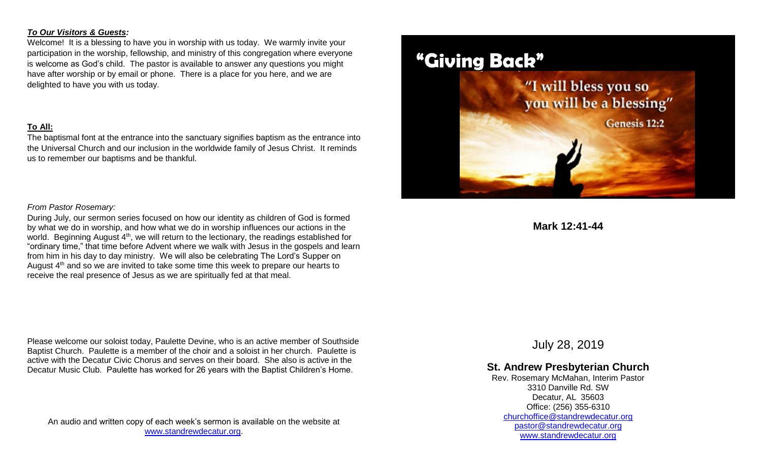#### *To Our Visitors & Guests:*

Welcome! It is a blessing to have you in worship with us today. We warmly invite your participation in the worship, fellowship, and ministry of this congregation where everyone is welcome as God's child. The pastor is available to answer any questions you might have after worship or by email or phone. There is a place for you here, and we are delighted to have you with us today.

#### **To All:**

The baptismal font at the entrance into the sanctuary signifies baptism as the entrance into the Universal Church and our inclusion in the worldwide family of Jesus Christ. It reminds us to remember our baptisms and be thankful.

#### *From Pastor Rosemary:*

During July, our sermon series focused on how our identity as children of God is formed by what we do in worship, and how what we do in worship influences our actions in the world. Beginning August 4<sup>th</sup>, we will return to the lectionary, the readings established for "ordinary time," that time before Advent where we walk with Jesus in the gospels and learn from him in his day to day ministry. We will also be celebrating The Lord's Supper on August  $4<sup>th</sup>$  and so we are invited to take some time this week to prepare our hearts to receive the real presence of Jesus as we are spiritually fed at that meal.

Please welcome our soloist today, Paulette Devine, who is an active member of Southside Baptist Church. Paulette is a member of the choir and a soloist in her church. Paulette is active with the Decatur Civic Chorus and serves on their board. She also is active in the Decatur Music Club. Paulette has worked for 26 years with the Baptist Children's Home.

An audio and written copy of each week's sermon is available on the website at [www.standrewdecatur.org.](http://www.standrewdecatur.org/)



**Mark 12:41-44**

July 28, 2019

### **St. Andrew Presbyterian Church**

Rev. Rosemary McMahan, Interim Pastor 3310 Danville Rd. SW Decatur, AL 35603 Office: (256) 355-6310 [churchoffice@standrewdecatur.org](mailto:churchoffice@standrewdecatur.org) pastor@standrewdecatur.org [www.standrewdecatur.org](http://www.standrewdecatur.org/)